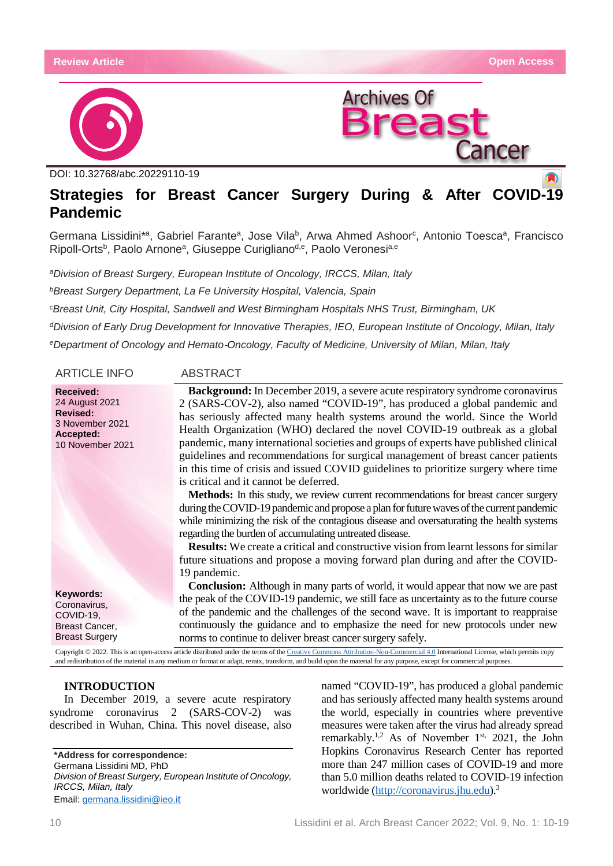



DOI: [10.32768/abc.20229110-](http://dx.doi.org/10.32768/abc.202184267-276)19

# **Strategies for Breast Cancer Surgery During & After COVID-19 Pandemic**

Germana Lissidini\*a, Gabriel Farante<sup>a</sup>, Jose Vila<sup>b</sup>, Arwa Ahmed Ashoor<sup>c</sup>, Antonio Toesca<sup>a</sup>, Francisco Ripoll-Orts<sup>b</sup>, Paolo Arnone<sup>a</sup>, Giuseppe Curigliano<sup>d,e</sup>, Paolo Veronesi<sup>a,e</sup>

*aDivision of Breast Surgery, European Institute of Oncology, IRCCS, Milan, Italy*

*bBreast Surgery Department, La Fe University Hospital, Valencia, Spain*

*cBreast Unit, City Hospital, Sandwell and West Birmingham Hospitals NHS Trust, Birmingham, UK*

*dDivision of Early Drug Development for Innovative Therapies, IEO, European Institute of Oncology, Milan, Italy*

*eDepartment of Oncology and Hemato*‐*Oncology, Faculty of Medicine, University of Milan, Milan, Italy*

| <b>ARTICLE INFO</b>                                                                                       | <b>ABSTRACT</b>                                                                                                                                                                                                                                                                                                                                                                                                                                                                                                                                                                                                                                                                                                                                                                                                                                                                                                                                                                                                                                                                                                                                                                   |
|-----------------------------------------------------------------------------------------------------------|-----------------------------------------------------------------------------------------------------------------------------------------------------------------------------------------------------------------------------------------------------------------------------------------------------------------------------------------------------------------------------------------------------------------------------------------------------------------------------------------------------------------------------------------------------------------------------------------------------------------------------------------------------------------------------------------------------------------------------------------------------------------------------------------------------------------------------------------------------------------------------------------------------------------------------------------------------------------------------------------------------------------------------------------------------------------------------------------------------------------------------------------------------------------------------------|
| <b>Received:</b><br>24 August 2021<br><b>Revised:</b><br>3 November 2021<br>Accepted:<br>10 November 2021 | <b>Background:</b> In December 2019, a severe acute respiratory syndrome coronavirus<br>2 (SARS-COV-2), also named "COVID-19", has produced a global pandemic and<br>has seriously affected many health systems around the world. Since the World<br>Health Organization (WHO) declared the novel COVID-19 outbreak as a global<br>pandemic, many international societies and groups of experts have published clinical<br>guidelines and recommendations for surgical management of breast cancer patients<br>in this time of crisis and issued COVID guidelines to prioritize surgery where time<br>is critical and it cannot be deferred.<br><b>Methods:</b> In this study, we review current recommendations for breast cancer surgery<br>during the COVID-19 pandemic and propose a plan for future waves of the current pandemic<br>while minimizing the risk of the contagious disease and oversaturating the health systems<br>regarding the burden of accumulating untreated disease.<br><b>Results:</b> We create a critical and constructive vision from learnt lessons for similar<br>future situations and propose a moving forward plan during and after the COVID- |
| Keywords:                                                                                                 | 19 pandemic.<br><b>Conclusion:</b> Although in many parts of world, it would appear that now we are past<br>the peak of the COVID-19 pandemic, we still face as uncertainty as to the future course                                                                                                                                                                                                                                                                                                                                                                                                                                                                                                                                                                                                                                                                                                                                                                                                                                                                                                                                                                               |
| Coronavirus,<br>COVID-19,<br>Breast Cancer,<br><b>Breast Surgery</b>                                      | of the pandemic and the challenges of the second wave. It is important to reappraise<br>continuously the guidance and to emphasize the need for new protocols under new<br>norms to continue to deliver breast cancer surgery safely.                                                                                                                                                                                                                                                                                                                                                                                                                                                                                                                                                                                                                                                                                                                                                                                                                                                                                                                                             |

Copyright © 2022. This is an open-access article distributed under the terms of th[e Creative Commons Attribution-Non-Commercial 4.0](https://creativecommons.org/licenses/by-nc/4.0/) International License, which permits copy and redistribution of the material in any medium or format or adapt, remix, transform, and build upon the material for any purpose, except for commercial purposes.

# **INTRODUCTION**

In December 2019, a severe acute respiratory syndrome coronavirus 2 (SARS-COV-2) was described in Wuhan, China. This novel disease, also

**\*Address for correspondence:** Germana Lissidini MD, PhD *Division of Breast Surgery, European Institute of Oncology, IRCCS, Milan, Italy* Email: [germana.lissidini@ieo.i](mailto:germana.lissidini@ieo.it)t

named "COVID-19", has produced a global pandemic and has seriously affected many health systems around the world, especially in countries where preventive measures were taken after the virus had already spread remarkably.<sup>1,2</sup> As of November 1<sup>st,</sup> 2021, the John Hopkins Coronavirus Research Center has reported more than 247 million cases of COVID-19 and more than 5.0 million deaths related to COVID-19 infection worldwide [\(http://coronavirus.jhu.edu\)](http://coronavirus.jhu.edu/).3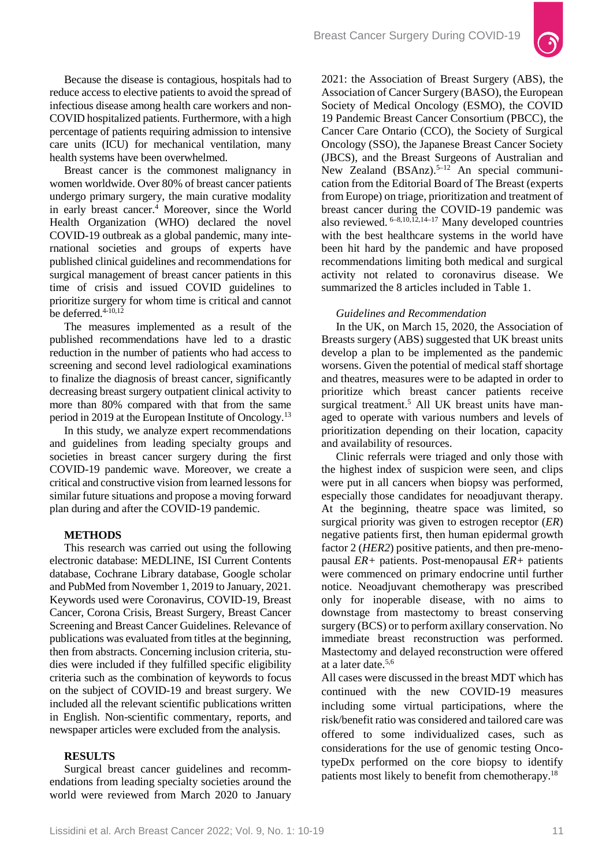

Because the disease is contagious, hospitals had to reduce access to elective patients to avoid the spread of infectious disease among health care workers and non-COVID hospitalized patients. Furthermore, with a high percentage of patients requiring admission to intensive care units (ICU) for mechanical ventilation, many health systems have been overwhelmed.

Breast cancer is the commonest malignancy in women worldwide. Over 80% of breast cancer patients undergo primary surgery, the main curative modality in early breast cancer.<sup>4</sup> Moreover, since the World Health Organization (WHO) declared the novel COVID-19 outbreak as a global pandemic, many international societies and groups of experts have published clinical guidelines and recommendations for surgical management of breast cancer patients in this time of crisis and issued COVID guidelines to prioritize surgery for whom time is critical and cannot be deferred. $4-10,12$ 

The measures implemented as a result of the published recommendations have led to a drastic reduction in the number of patients who had access to screening and second level radiological examinations to finalize the diagnosis of breast cancer, significantly decreasing breast surgery outpatient clinical activity to more than 80% compared with that from the same period in 2019 at the European Institute of Oncology.13

In this study, we analyze expert recommendations and guidelines from leading specialty groups and societies in breast cancer surgery during the first COVID-19 pandemic wave. Moreover, we create a critical and constructive vision from learned lessons for similar future situations and propose a moving forward plan during and after the COVID-19 pandemic.

## **METHODS**

This research was carried out using the following electronic database: MEDLINE, ISI Current Contents database, Cochrane Library database, Google scholar and PubMed from November 1, 2019 to January, 2021. Keywords used were Coronavirus, COVID-19, Breast Cancer, Corona Crisis, Breast Surgery, Breast Cancer Screening and Breast Cancer Guidelines. Relevance of publications was evaluated from titles at the beginning, then from abstracts. Concerning inclusion criteria, studies were included if they fulfilled specific eligibility criteria such as the combination of keywords to focus on the subject of COVID-19 and breast surgery. We included all the relevant scientific publications written in English. Non-scientific commentary, reports, and newspaper articles were excluded from the analysis.

#### **RESULTS**

Surgical breast cancer guidelines and recommendations from leading specialty societies around the world were reviewed from March 2020 to January 2021: the Association of Breast Surgery (ABS), the Association of Cancer Surgery (BASO), the European Society of Medical Oncology (ESMO), the COVID 19 Pandemic Breast Cancer Consortium (PBCC), the Cancer Care Ontario (CCO), the Society of Surgical Oncology (SSO), the Japanese Breast Cancer Society (JBCS), and the Breast Surgeons of Australian and New Zealand  $(BSAnz)$ .<sup>5–12</sup> An special communication from the Editorial Board of The Breast (experts from Europe) on triage, prioritization and treatment of breast cancer during the COVID-19 pandemic was also reviewed.  $6-8,10,12,14-17$  Many developed countries with the best healthcare systems in the world have been hit hard by the pandemic and have proposed recommendations limiting both medical and surgical activity not related to coronavirus disease. We summarized the 8 articles included in Table 1.

#### *Guidelines and Recommendation*

In the UK, on March 15, 2020, the Association of Breasts surgery (ABS) suggested that UK breast units develop a plan to be implemented as the pandemic worsens. Given the potential of medical staff shortage and theatres, measures were to be adapted in order to prioritize which breast cancer patients receive surgical treatment.<sup>5</sup> All UK breast units have managed to operate with various numbers and levels of prioritization depending on their location, capacity and availability of resources.

Clinic referrals were triaged and only those with the highest index of suspicion were seen, and clips were put in all cancers when biopsy was performed, especially those candidates for neoadjuvant therapy. At the beginning, theatre space was limited, so surgical priority was given to estrogen receptor (*ER*) negative patients first, then human epidermal growth factor 2 (*HER2*) positive patients, and then pre-menopausal *ER+* patients. Post-menopausal *ER+* patients were commenced on primary endocrine until further notice. Neoadjuvant chemotherapy was prescribed only for inoperable disease, with no aims to downstage from mastectomy to breast conserving surgery (BCS) or to perform axillary conservation. No immediate breast reconstruction was performed. Mastectomy and delayed reconstruction were offered at a later date.5,6

All cases were discussed in the breast MDT which has continued with the new COVID-19 measures including some virtual participations, where the risk/benefit ratio was considered and tailored care was offered to some individualized cases, such as considerations for the use of genomic testing OncotypeDx performed on the core biopsy to identify patients most likely to benefit from chemotherapy.18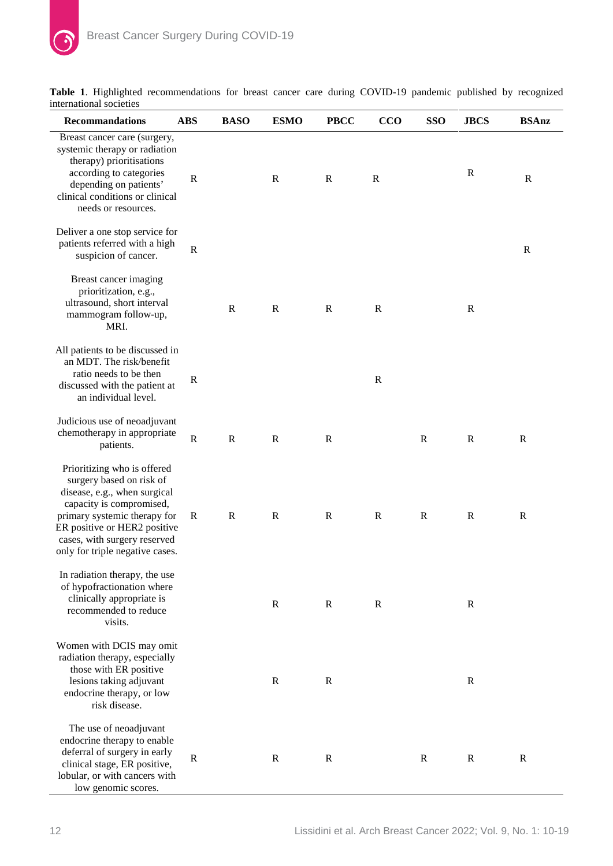| <b>Recommandations</b>                                                                                                                                                                                                                                 | <b>ABS</b>   | <b>BASO</b> | <b>ESMO</b>  | <b>PBCC</b>  | CCO          | <b>SSO</b>   | <b>JBCS</b>  | <b>BSAnz</b> |
|--------------------------------------------------------------------------------------------------------------------------------------------------------------------------------------------------------------------------------------------------------|--------------|-------------|--------------|--------------|--------------|--------------|--------------|--------------|
| Breast cancer care (surgery,<br>systemic therapy or radiation<br>therapy) prioritisations<br>according to categories<br>depending on patients'<br>clinical conditions or clinical<br>needs or resources.                                               | $\mathbb{R}$ |             | $\mathbb{R}$ | $\mathbf R$  | $\mathbf R$  |              | $\mathbf R$  | $\mathbb{R}$ |
| Deliver a one stop service for<br>patients referred with a high<br>suspicion of cancer.                                                                                                                                                                | $\mathbb{R}$ |             |              |              |              |              |              | $\mathbb{R}$ |
| Breast cancer imaging<br>prioritization, e.g.,<br>ultrasound, short interval<br>mammogram follow-up,<br>MRI.                                                                                                                                           |              | $\mathbf R$ | $\mathbf R$  | $\mathbb{R}$ | $\mathbf R$  |              | $\mathbf R$  |              |
| All patients to be discussed in<br>an MDT. The risk/benefit<br>ratio needs to be then<br>discussed with the patient at<br>an individual level.                                                                                                         | $\mathbb{R}$ |             |              |              | $\mathbf R$  |              |              |              |
| Judicious use of neoadjuvant<br>chemotherapy in appropriate<br>patients.                                                                                                                                                                               | ${\bf R}$    | $\mathbf R$ | $\mathbf R$  | $\mathbf R$  |              | $\mathbf R$  | $\mathbb{R}$ | $\mathbb{R}$ |
| Prioritizing who is offered<br>surgery based on risk of<br>disease, e.g., when surgical<br>capacity is compromised,<br>primary systemic therapy for<br>ER positive or HER2 positive<br>cases, with surgery reserved<br>only for triple negative cases. | $\mathbf R$  | $\mathbf R$ | $\mathbb{R}$ | $\mathbb{R}$ | $\mathbb{R}$ | $\mathbf R$  | $\mathbb{R}$ | $\mathbf R$  |
| In radiation therapy, the use<br>of hypofractionation where<br>clinically appropriate is<br>recommended to reduce<br>visits.                                                                                                                           |              |             | $\mathbb{R}$ | $\mathbb{R}$ | $\mathbf R$  |              | $\mathbf R$  |              |
| Women with DCIS may omit<br>radiation therapy, especially<br>those with ER positive<br>lesions taking adjuvant<br>endocrine therapy, or low<br>risk disease.                                                                                           |              |             | $\mathbf R$  | $\mathbf R$  |              |              | $\mathbf R$  |              |
| The use of neoadjuvant<br>endocrine therapy to enable<br>deferral of surgery in early<br>clinical stage, ER positive,<br>lobular, or with cancers with<br>low genomic scores.                                                                          | $\mathbb{R}$ |             | $\mathbb{R}$ | $\mathbf R$  |              | $\mathbb{R}$ | $\mathbf R$  | $\mathbb{R}$ |

**Table 1**. Highlighted recommendations for breast cancer care during COVID-19 pandemic published by recognized international societies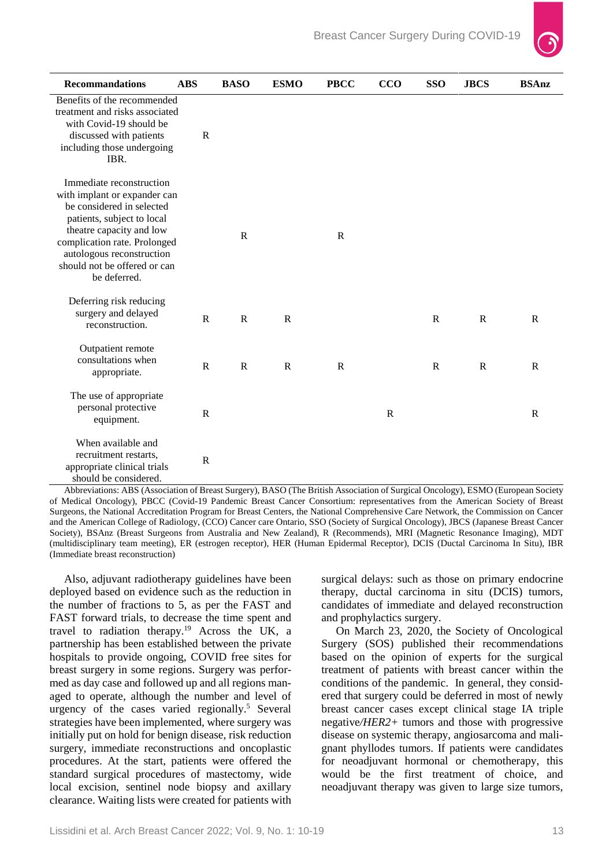

| <b>Recommandations</b>                                                                                                                                                                                                                                       | <b>ABS</b>   | <b>BASO</b>  | <b>ESMO</b> | <b>PBCC</b>  | CCO          | <b>SSO</b>   | <b>JBCS</b>  | <b>BSAnz</b> |
|--------------------------------------------------------------------------------------------------------------------------------------------------------------------------------------------------------------------------------------------------------------|--------------|--------------|-------------|--------------|--------------|--------------|--------------|--------------|
| Benefits of the recommended<br>treatment and risks associated<br>with Covid-19 should be<br>discussed with patients<br>including those undergoing<br>IBR.                                                                                                    | $\mathbb{R}$ |              |             |              |              |              |              |              |
| Immediate reconstruction<br>with implant or expander can<br>be considered in selected<br>patients, subject to local<br>theatre capacity and low<br>complication rate. Prolonged<br>autologous reconstruction<br>should not be offered or can<br>be deferred. |              | $\mathbb{R}$ |             | $\mathbb{R}$ |              |              |              |              |
| Deferring risk reducing<br>surgery and delayed<br>reconstruction.                                                                                                                                                                                            | $\mathbf R$  | $\mathbf R$  | ${\bf R}$   |              |              | ${\bf R}$    | $\mathbb{R}$ | $\mathbb{R}$ |
| Outpatient remote<br>consultations when<br>appropriate.                                                                                                                                                                                                      | $\mathbb{R}$ | $\mathbb{R}$ | $\mathbf R$ | $\mathbb{R}$ |              | $\mathbb{R}$ | $\mathbb{R}$ | $\mathbb{R}$ |
| The use of appropriate<br>personal protective<br>equipment.                                                                                                                                                                                                  | $\mathbf R$  |              |             |              | $\mathbb{R}$ |              |              | $\mathbb{R}$ |
| When available and<br>recruitment restarts,<br>appropriate clinical trials<br>should be considered.                                                                                                                                                          | $\mathbb{R}$ |              |             |              |              |              |              |              |

Abbreviations: ABS (Association of Breast Surgery), BASO (The British Association of Surgical Oncology), ESMO (European Society of Medical Oncology), PBCC (Covid-19 Pandemic Breast Cancer Consortium: representatives from the American Society of Breast Surgeons, the National Accreditation Program for Breast Centers, the National Comprehensive Care Network, the Commission on Cancer and the American College of Radiology, (CCO) Cancer care Ontario, SSO (Society of Surgical Oncology), JBCS (Japanese Breast Cancer Society), BSAnz (Breast Surgeons from Australia and New Zealand), R (Recommends), MRI (Magnetic Resonance Imaging), MDT (multidisciplinary team meeting), ER (estrogen receptor), HER (Human Epidermal Receptor), DCIS (Ductal Carcinoma In Situ), IBR (Immediate breast reconstruction)

Also, adjuvant radiotherapy guidelines have been deployed based on evidence such as the reduction in the number of fractions to 5, as per the FAST and FAST forward trials, to decrease the time spent and travel to radiation therapy.19 Across the UK, a partnership has been established between the private hospitals to provide ongoing, COVID free sites for breast surgery in some regions. Surgery was performed as day case and followed up and all regions managed to operate, although the number and level of urgency of the cases varied regionally.<sup>5</sup> Several strategies have been implemented, where surgery was initially put on hold for benign disease, risk reduction surgery, immediate reconstructions and oncoplastic procedures. At the start, patients were offered the standard surgical procedures of mastectomy, wide local excision, sentinel node biopsy and axillary clearance. Waiting lists were created for patients with

surgical delays: such as those on primary endocrine therapy, ductal carcinoma in situ (DCIS) tumors, candidates of immediate and delayed reconstruction and prophylactics surgery.

On March 23, 2020, the Society of Oncological Surgery (SOS) published their recommendations based on the opinion of experts for the surgical treatment of patients with breast cancer within the conditions of the pandemic. In general, they considered that surgery could be deferred in most of newly breast cancer cases except clinical stage IA triple negative*/HER2+* tumors and those with progressive disease on systemic therapy, angiosarcoma and malignant phyllodes tumors. If patients were candidates for neoadjuvant hormonal or chemotherapy, this would be the first treatment of choice, and neoadjuvant therapy was given to large size tumors,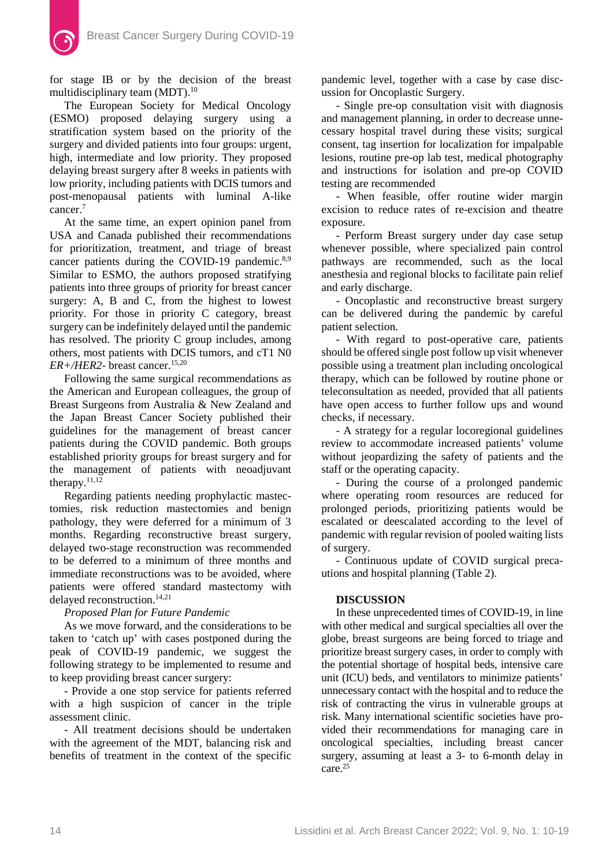for stage IB or by the decision of the breast multidisciplinary team (MDT).<sup>10</sup>

The European Society for Medical Oncology (ESMO) proposed delaying surgery using a stratification system based on the priority of the surgery and divided patients into four groups: urgent, high, intermediate and low priority. They proposed delaying breast surgery after 8 weeks in patients with low priority, including patients with DCIS tumors and post-menopausal patients with luminal A-like cancer.<sup>7</sup>

At the same time, an expert opinion panel from USA and Canada published their recommendations for prioritization, treatment, and triage of breast cancer patients during the COVID-19 pandemic.<sup>8,9</sup> Similar to ESMO, the authors proposed stratifying patients into three groups of priority for breast cancer surgery: A, B and C, from the highest to lowest priority. For those in priority C category, breast surgery can be indefinitely delayed until the pandemic has resolved. The priority C group includes, among others, most patients with DCIS tumors, and cT1 N0 *ER+/HER2-* breast cancer.<sup>15,20</sup>

Following the same surgical recommendations as the American and European colleagues, the group of Breast Surgeons from Australia & New Zealand and the Japan Breast Cancer Society published their guidelines for the management of breast cancer patients during the COVID pandemic. Both groups established priority groups for breast surgery and for the management of patients with neoadjuvant therapy. $11,12$ 

Regarding patients needing prophylactic mastectomies, risk reduction mastectomies and benign pathology, they were deferred for a minimum of 3 months. Regarding reconstructive breast surgery, delayed two-stage reconstruction was recommended to be deferred to a minimum of three months and immediate reconstructions was to be avoided, where patients were offered standard mastectomy with delayed reconstruction.<sup>14,21</sup>

*Proposed Plan for Future Pandemic*

As we move forward, and the considerations to be taken to 'catch up' with cases postponed during the peak of COVID-19 pandemic, we suggest the following strategy to be implemented to resume and to keep providing breast cancer surgery:

- Provide a one stop service for patients referred with a high suspicion of cancer in the triple assessment clinic.

- All treatment decisions should be undertaken with the agreement of the MDT, balancing risk and benefits of treatment in the context of the specific

pandemic level, together with a case by case discussion for Oncoplastic Surgery.

- Single pre-op consultation visit with diagnosis and management planning, in order to decrease unnecessary hospital travel during these visits; surgical consent, tag insertion for localization for impalpable lesions, routine pre-op lab test, medical photography and instructions for isolation and pre-op COVID testing are recommended

- When feasible, offer routine wider margin excision to reduce rates of re-excision and theatre exposure.

- Perform Breast surgery under day case setup whenever possible, where specialized pain control pathways are recommended, such as the local anesthesia and regional blocks to facilitate pain relief and early discharge.

- Oncoplastic and reconstructive breast surgery can be delivered during the pandemic by careful patient selection.

- With regard to post-operative care, patients should be offered single post follow up visit whenever possible using a treatment plan including oncological therapy, which can be followed by routine phone or teleconsultation as needed, provided that all patients have open access to further follow ups and wound checks, if necessary.

- A strategy for a regular locoregional guidelines review to accommodate increased patients' volume without jeopardizing the safety of patients and the staff or the operating capacity.

- During the course of a prolonged pandemic where operating room resources are reduced for prolonged periods, prioritizing patients would be escalated or deescalated according to the level of pandemic with regular revision of pooled waiting lists of surgery.

- Continuous update of COVID surgical precautions and hospital planning (Table 2).

# **DISCUSSION**

In these unprecedented times of COVID-19, in line with other medical and surgical specialties all over the globe, breast surgeons are being forced to triage and prioritize breast surgery cases, in order to comply with the potential shortage of hospital beds, intensive care unit (ICU) beds, and ventilators to minimize patients' unnecessary contact with the hospital and to reduce the risk of contracting the virus in vulnerable groups at risk. Many international scientific societies have provided their recommendations for managing care in oncological specialties, including breast cancer surgery, assuming at least a 3- to 6-month delay in care.25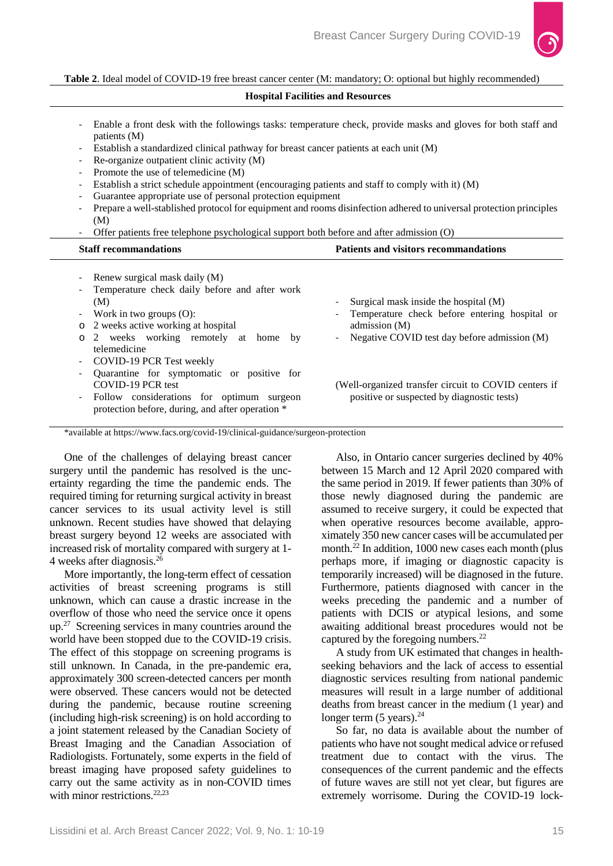

#### **Table 2**. Ideal model of COVID-19 free breast cancer center (M: mandatory; O: optional but highly recommended)

| <b>Hospital Facilities and Resources</b> |  |  |
|------------------------------------------|--|--|
|------------------------------------------|--|--|

- Enable a front desk with the followings tasks: temperature check, provide masks and gloves for both staff and patients (M)
- Establish a standardized clinical pathway for breast cancer patients at each unit (M)
- Re-organize outpatient clinic activity (M)
- Promote the use of telemedicine (M)
- Establish a strict schedule appointment (encouraging patients and staff to comply with it) (M)
- Guarantee appropriate use of personal protection equipment
- Prepare a well-stablished protocol for equipment and rooms disinfection adhered to universal protection principles (M)
- Offer patients free telephone psychological support both before and after admission (O)

| <b>Staff recommandations</b>                                                                                                                                                                                                              | <b>Patients and visitors recommandations</b>                                                                                                            |  |  |  |
|-------------------------------------------------------------------------------------------------------------------------------------------------------------------------------------------------------------------------------------------|---------------------------------------------------------------------------------------------------------------------------------------------------------|--|--|--|
| Renew surgical mask daily (M)<br>$\sim$<br>Temperature check daily before and after work<br>(M)<br>- Work in two groups $(O)$ :<br>o 2 weeks active working at hospital<br>2 weeks working remotely at home by<br>$\circ$<br>telemedicine | Surgical mask inside the hospital (M)<br>Temperature check before entering hospital or<br>admission (M)<br>Negative COVID test day before admission (M) |  |  |  |
| - COVID-19 PCR Test weekly<br>Quarantine for symptomatic or positive for<br>COVID-19 PCR test<br>- Follow considerations for optimum surgeon<br>protection before, during, and after operation *                                          | (Well-organized transfer circuit to COVID centers if<br>positive or suspected by diagnostic tests)                                                      |  |  |  |

\*available at https://www.facs.org/covid-19/clinical-guidance/surgeon-protection

One of the challenges of delaying breast cancer surgery until the pandemic has resolved is the uncertainty regarding the time the pandemic ends. The required timing for returning surgical activity in breast cancer services to its usual activity level is still unknown. Recent studies have showed that delaying breast surgery beyond 12 weeks are associated with increased risk of mortality compared with surgery at 1- 4 weeks after diagnosis.26

More importantly, the long-term effect of cessation activities of breast screening programs is still unknown, which can cause a drastic increase in the overflow of those who need the service once it opens up.27 Screening services in many countries around the world have been stopped due to the COVID-19 crisis. The effect of this stoppage on screening programs is still unknown. In Canada, in the pre-pandemic era, approximately 300 screen-detected cancers per month were observed. These cancers would not be detected during the pandemic, because routine screening (including high-risk screening) is on hold according to a joint statement released by the Canadian Society of Breast Imaging and the Canadian Association of Radiologists. Fortunately, some experts in the field of breast imaging have proposed safety guidelines to carry out the same activity as in non-COVID times with minor restrictions.<sup>22,23</sup>

Also, in Ontario cancer surgeries declined by 40% between 15 March and 12 April 2020 compared with the same period in 2019. If fewer patients than 30% of those newly diagnosed during the pandemic are assumed to receive surgery, it could be expected that when operative resources become available, approximately 350 new cancer cases will be accumulated per month.<sup>22</sup> In addition, 1000 new cases each month (plus perhaps more, if imaging or diagnostic capacity is temporarily increased) will be diagnosed in the future. Furthermore, patients diagnosed with cancer in the weeks preceding the pandemic and a number of patients with DCIS or atypical lesions, and some awaiting additional breast procedures would not be captured by the foregoing numbers.<sup>22</sup>

A study from UK estimated that changes in healthseeking behaviors and the lack of access to essential diagnostic services resulting from national pandemic measures will result in a large number of additional deaths from breast cancer in the medium (1 year) and longer term  $(5 \text{ years})$ .<sup>24</sup>

So far, no data is available about the number of patients who have not sought medical advice or refused treatment due to contact with the virus. The consequences of the current pandemic and the effects of future waves are still not yet clear, but figures are extremely worrisome. During the COVID-19 lock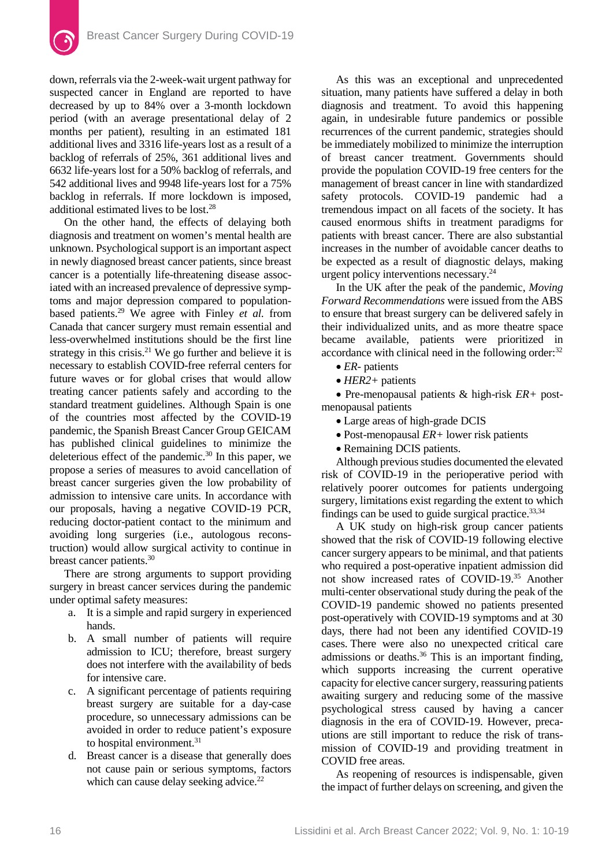down, referrals via the 2-week-wait urgent pathway for suspected cancer in England are reported to have decreased by up to 84% over a 3-month lockdown period (with an average presentational delay of 2 months per patient), resulting in an estimated 181 additional lives and 3316 life-years lost as a result of a backlog of referrals of 25%, 361 additional lives and 6632 life-years lost for a 50% backlog of referrals, and 542 additional lives and 9948 life-years lost for a 75% backlog in referrals. If more lockdown is imposed, additional estimated lives to be lost.28

On the other hand, the effects of delaying both diagnosis and treatment on women's mental health are unknown. Psychological support is an important aspect in newly diagnosed breast cancer patients, since breast cancer is a potentially life-threatening disease associated with an increased prevalence of depressive symptoms and major depression compared to populationbased patients.29 We agree with Finley *et al.* from Canada that cancer surgery must remain essential and less-overwhelmed institutions should be the first line strategy in this crisis. $21$  We go further and believe it is necessary to establish COVID-free referral centers for future waves or for global crises that would allow treating cancer patients safely and according to the standard treatment guidelines. Although Spain is one of the countries most affected by the COVID-19 pandemic, the Spanish Breast Cancer Group GEICAM has published clinical guidelines to minimize the deleterious effect of the pandemic.30 In this paper, we propose a series of measures to avoid cancellation of breast cancer surgeries given the low probability of admission to intensive care units. In accordance with our proposals, having a negative COVID-19 PCR, reducing doctor-patient contact to the minimum and avoiding long surgeries (i.e., autologous reconstruction) would allow surgical activity to continue in breast cancer patients.30

There are strong arguments to support providing surgery in breast cancer services during the pandemic under optimal safety measures:

- a. It is a simple and rapid surgery in experienced hands.
- b. A small number of patients will require admission to ICU; therefore, breast surgery does not interfere with the availability of beds for intensive care.
- c. A significant percentage of patients requiring breast surgery are suitable for a day-case procedure, so unnecessary admissions can be avoided in order to reduce patient's exposure to hospital environment.<sup>31</sup>
- d. Breast cancer is a disease that generally does not cause pain or serious symptoms, factors which can cause delay seeking advice.<sup>22</sup>

As this was an exceptional and unprecedented situation, many patients have suffered a delay in both diagnosis and treatment. To avoid this happening again, in undesirable future pandemics or possible recurrences of the current pandemic, strategies should be immediately mobilized to minimize the interruption of breast cancer treatment. Governments should provide the population COVID-19 free centers for the management of breast cancer in line with standardized safety protocols. COVID-19 pandemic had a tremendous impact on all facets of the society. It has caused enormous shifts in treatment paradigms for patients with breast cancer. There are also substantial increases in the number of avoidable cancer deaths to be expected as a result of diagnostic delays, making urgent policy interventions necessary.24

In the UK after the peak of the pandemic, *Moving Forward Recommendations* were issued from the ABS to ensure that breast surgery can be delivered safely in their individualized units, and as more theatre space became available, patients were prioritized in accordance with clinical need in the following order:<sup>32</sup>

- *ER-* patients
- *HER2+* patients

• Pre-menopausal patients & high-risk *ER+* postmenopausal patients

- Large areas of high-grade DCIS
- Post-menopausal *ER+* lower risk patients
- Remaining DCIS patients.

Although previous studies documented the elevated risk of COVID-19 in the perioperative period with relatively poorer outcomes for patients undergoing surgery, limitations exist regarding the extent to which findings can be used to guide surgical practice. $33,34$ 

A UK study on high-risk group cancer patients showed that the risk of COVID-19 following elective cancer surgery appears to be minimal, and that patients who required a post-operative inpatient admission did not show increased rates of COVID-19.35 Another multi-center observational study during the peak of the COVID-19 pandemic showed no patients presented post-operatively with COVID-19 symptoms and at 30 days, there had not been any identified COVID-19 cases. There were also no unexpected critical care admissions or deaths.<sup>36</sup> This is an important finding, which supports increasing the current operative capacity for elective cancer surgery, reassuring patients awaiting surgery and reducing some of the massive psychological stress caused by having a cancer diagnosis in the era of COVID-19. However, precautions are still important to reduce the risk of transmission of COVID-19 and providing treatment in COVID free areas.

As reopening of resources is indispensable, given the impact of further delays on screening, and given the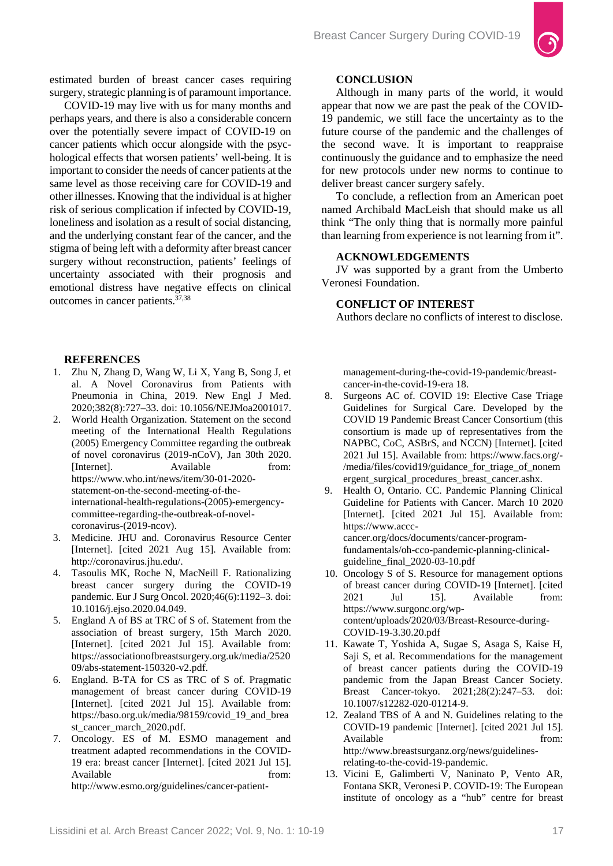

estimated burden of breast cancer cases requiring surgery, strategic planning is of paramount importance.

COVID-19 may live with us for many months and perhaps years, and there is also a considerable concern over the potentially severe impact of COVID-19 on cancer patients which occur alongside with the psychological effects that worsen patients' well-being. It is important to consider the needs of cancer patients at the same level as those receiving care for COVID-19 and other illnesses. Knowing that the individual is at higher risk of serious complication if infected by COVID-19, loneliness and isolation as a result of social distancing, and the underlying constant fear of the cancer, and the stigma of being left with a deformity after breast cancer surgery without reconstruction, patients' feelings of uncertainty associated with their prognosis and emotional distress have negative effects on clinical outcomes in cancer patients.37,38

#### **REFERENCES**

- 1. Zhu N, Zhang D, Wang W, Li X, Yang B, Song J, et al. A Novel Coronavirus from Patients with Pneumonia in China, 2019. New Engl J Med. 2020;382(8):727–33. doi: 10.1056/NEJMoa2001017.
- 2. World Health Organization. Statement on the second meeting of the International Health Regulations (2005) Emergency Committee regarding the outbreak of novel coronavirus (2019-nCoV), Jan 30th 2020. [Internet]. Available from: https://www.who.int/news/item/30-01-2020 statement-on-the-second-meeting-of-theinternational-health-regulations-(2005)-emergencycommittee-regarding-the-outbreak-of-novelcoronavirus-(2019-ncov).
- 3. Medicine. JHU and. Coronavirus Resource Center [Internet]. [cited 2021 Aug 15]. Available from: http://coronavirus.jhu.edu/.
- 4. Tasoulis MK, Roche N, MacNeill F. Rationalizing breast cancer surgery during the COVID-19 pandemic. Eur J Surg Oncol. 2020;46(6):1192–3. doi: [10.1016/j.ejso.2020.04.049.](https://dx.doi.org/10.1016%2Fj.ejso.2020.04.049)
- 5. England A of BS at TRC of S of. Statement from the association of breast surgery, 15th March 2020. [Internet]. [cited 2021 Jul 15]. Available from: https://associationofbreastsurgery.org.uk/media/2520 09/abs-statement-150320-v2.pdf.
- 6. England. B-TA for CS as TRC of S of. Pragmatic management of breast cancer during COVID-19 [Internet]. [cited 2021 Jul 15]. Available from: https://baso.org.uk/media/98159/covid\_19\_and\_brea st\_cancer\_march\_2020.pdf.
- 7. Oncology. ES of M. ESMO management and treatment adapted recommendations in the COVID-19 era: breast cancer [Internet]. [cited 2021 Jul 15]. Available from: http://www.esmo.org/guidelines/cancer-patient-

# **CONCLUSION**

Although in many parts of the world, it would appear that now we are past the peak of the COVID-19 pandemic, we still face the uncertainty as to the future course of the pandemic and the challenges of the second wave. It is important to reappraise continuously the guidance and to emphasize the need for new protocols under new norms to continue to deliver breast cancer surgery safely.

To conclude, a reflection from an American poet named Archibald MacLeish that should make us all think "The only thing that is normally more painful than learning from experience is not learning from it".

### **ACKNOWLEDGEMENTS**

JV was supported by a grant from the Umberto Veronesi Foundation.

# **CONFLICT OF INTEREST**

Authors declare no conflicts of interest to disclose.

management-during-the-covid-19-pandemic/breastcancer-in-the-covid-19-era 18.

- 8. Surgeons AC of. COVID 19: Elective Case Triage Guidelines for Surgical Care. Developed by the COVID 19 Pandemic Breast Cancer Consortium (this consortium is made up of representatives from the NAPBC, CoC, ASBrS, and NCCN) [Internet]. [cited 2021 Jul 15]. Available from: https://www.facs.org/- /media/files/covid19/guidance\_for\_triage\_of\_nonem ergent\_surgical\_procedures\_breast\_cancer.ashx.
- 9. Health O, Ontario. CC. Pandemic Planning Clinical Guideline for Patients with Cancer. March 10 2020 [Internet]. [cited 2021 Jul 15]. Available from: [https://www.accc](https://www.accc-cancer.org/docs/documents/cancer-program-fundamentals/oh-cco-pandemic-planning-clinical-guideline_final_2020-03-10.pdf)[cancer.org/docs/documents/cancer-program](https://www.accc-cancer.org/docs/documents/cancer-program-fundamentals/oh-cco-pandemic-planning-clinical-guideline_final_2020-03-10.pdf)[fundamentals/oh-cco-pandemic-planning-clinical](https://www.accc-cancer.org/docs/documents/cancer-program-fundamentals/oh-cco-pandemic-planning-clinical-guideline_final_2020-03-10.pdf)[guideline\\_final\\_2020-03-10.pdf](https://www.accc-cancer.org/docs/documents/cancer-program-fundamentals/oh-cco-pandemic-planning-clinical-guideline_final_2020-03-10.pdf)
- 10. Oncology S of S. Resource for management options of breast cancer during COVID-19 [Internet]. [cited 2021 Jul 15]. Available from: https://www.surgonc.org/wpcontent/uploads/2020/03/Breast-Resource-during-COVID-19-3.30.20.pdf
- 11. Kawate T, Yoshida A, Sugae S, Asaga S, Kaise H, Saji S, et al. Recommendations for the management of breast cancer patients during the COVID-19 pandemic from the Japan Breast Cancer Society. Breast Cancer-tokyo. 2021;28(2):247–53. doi: [10.1007/s12282-020-01214-9.](https://dx.doi.org/10.1007%2Fs12282-020-01214-9)
- 12. Zealand TBS of A and N. Guidelines relating to the COVID-19 pandemic [Internet]. [cited 2021 Jul 15]. Available from: http://www.breastsurganz.org/news/guidelinesrelating-to-the-covid-19-pandemic.
- 13. Vicini E, Galimberti V, Naninato P, Vento AR, Fontana SKR, Veronesi P. COVID-19: The European institute of oncology as a "hub" centre for breast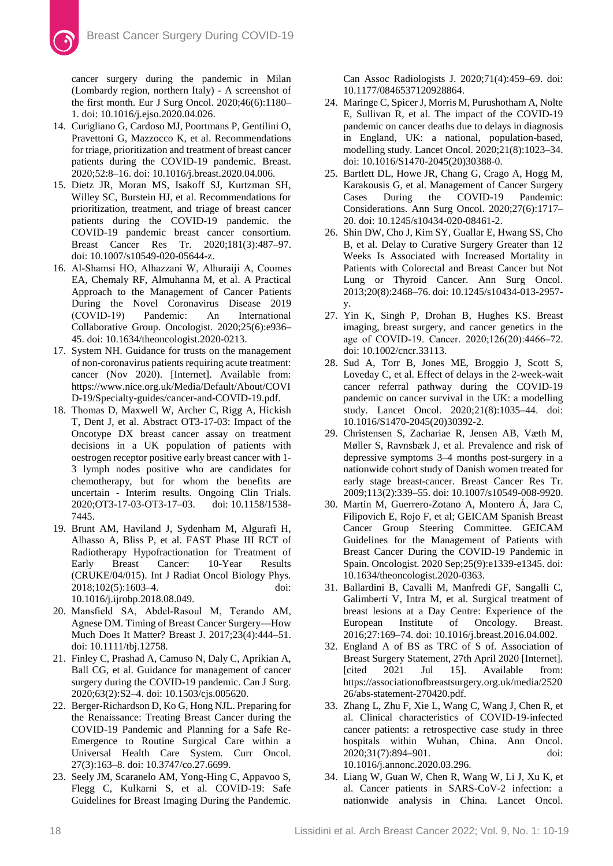cancer surgery during the pandemic in Milan (Lombardy region, northern Italy) - A screenshot of the first month. Eur J Surg Oncol. 2020;46(6):1180– 1. doi: [10.1016/j.ejso.2020.04.026.](https://dx.doi.org/10.1016%2Fj.ejso.2020.04.026)

- 14. Curigliano G, Cardoso MJ, Poortmans P, Gentilini O, Pravettoni G, Mazzocco K, et al. Recommendations for triage, prioritization and treatment of breast cancer patients during the COVID-19 pandemic. Breast. 2020;52:8–16. doi: 10.1016/j.breast.2020.04.006.
- 15. Dietz JR, Moran MS, Isakoff SJ, Kurtzman SH, Willey SC, Burstein HJ, et al. Recommendations for prioritization, treatment, and triage of breast cancer patients during the COVID-19 pandemic. the COVID-19 pandemic breast cancer consortium. Breast Cancer Res Tr. 2020;181(3):487–97. doi: 10.1007/s10549-020-05644-z.
- 16. Al‐Shamsi HO, Alhazzani W, Alhuraiji A, Coomes EA, Chemaly RF, Almuhanna M, et al. A Practical Approach to the Management of Cancer Patients During the Novel Coronavirus Disease 2019 (COVID‐19) Pandemic: An International Collaborative Group. Oncologist. 2020;25(6):e936– 45. doi: 10.1634/theoncologist.2020-0213.
- 17. System NH. Guidance for trusts on the management of non-coronavirus patients requiring acute treatment: cancer (Nov 2020). [Internet]. Available from: https://www.nice.org.uk/Media/Default/About/COVI D-19/Specialty-guides/cancer-and-COVID-19.pdf.
- 18. Thomas D, Maxwell W, Archer C, Rigg A, Hickish T, Dent J, et al. Abstract OT3-17-03: Impact of the Oncotype DX breast cancer assay on treatment decisions in a UK population of patients with oestrogen receptor positive early breast cancer with 1- 3 lymph nodes positive who are candidates for chemotherapy, but for whom the benefits are uncertain - Interim results. Ongoing Clin Trials. 2020;OT3-17-03-OT3-17–03. doi: 10.1158/1538- 7445.
- 19. Brunt AM, Haviland J, Sydenham M, Algurafi H, Alhasso A, Bliss P, et al. FAST Phase III RCT of Radiotherapy Hypofractionation for Treatment of Early Breast Cancer: 10-Year Results (CRUKE/04/015). Int J Radiat Oncol Biology Phys. 2018;102(5):1603–4. doi: [10.1016/j.ijrobp.2018.08.049.](https://doi.org/10.1016/j.ijrobp.2018.08.049)
- 20. Mansfield SA, Abdel‐Rasoul M, Terando AM, Agnese DM. Timing of Breast Cancer Surgery—How Much Does It Matter? Breast J. 2017;23(4):444–51. doi: [10.1111/tbj.12758.](https://doi.org/10.1111/tbj.12758)
- 21. Finley C, Prashad A, Camuso N, Daly C, Aprikian A, Ball CG, et al. Guidance for management of cancer surgery during the COVID-19 pandemic. Can J Surg. 2020;63(2):S2–4. doi: 10.1503/cjs.005620.
- 22. Berger-Richardson D, Ko G, Hong NJL. Preparing for the Renaissance: Treating Breast Cancer during the COVID-19 Pandemic and Planning for a Safe Re-Emergence to Routine Surgical Care within a Universal Health Care System. Curr Oncol. 27(3):163–8. doi: 10.3747/co.27.6699.
- 23. Seely JM, Scaranelo AM, Yong-Hing C, Appavoo S, Flegg C, Kulkarni S, et al. COVID-19: Safe Guidelines for Breast Imaging During the Pandemic.

Can Assoc Radiologists J. 2020;71(4):459–69. doi: 10.1177/0846537120928864.

- 24. Maringe C, Spicer J, Morris M, Purushotham A, Nolte E, Sullivan R, et al. The impact of the COVID-19 pandemic on cancer deaths due to delays in diagnosis in England, UK: a national, population-based, modelling study. Lancet Oncol. 2020;21(8):1023–34. doi: 10.1016/S1470-2045(20)30388-0.
- 25. Bartlett DL, Howe JR, Chang G, Crago A, Hogg M, Karakousis G, et al. Management of Cancer Surgery<br>Cases During the COVID-19 Pandemic: Cases During the COVID-19 Considerations. Ann Surg Oncol. 2020;27(6):1717– 20. doi: 10.1245/s10434-020-08461-2.
- 26. Shin DW, Cho J, Kim SY, Guallar E, Hwang SS, Cho B, et al. Delay to Curative Surgery Greater than 12 Weeks Is Associated with Increased Mortality in Patients with Colorectal and Breast Cancer but Not Lung or Thyroid Cancer. Ann Surg Oncol. 2013;20(8):2468–76. doi: 10.1245/s10434-013-2957 y.
- 27. Yin K, Singh P, Drohan B, Hughes KS. Breast imaging, breast surgery, and cancer genetics in the age of COVID‐19. Cancer. 2020;126(20):4466–72. doi: 10.1002/cncr.33113.
- 28. Sud A, Torr B, Jones ME, Broggio J, Scott S, Loveday C, et al. Effect of delays in the 2-week-wait cancer referral pathway during the COVID-19 pandemic on cancer survival in the UK: a modelling study. Lancet Oncol. 2020;21(8):1035–44. doi: 10.1016/S1470-2045(20)30392-2.
- 29. Christensen S, Zachariae R, Jensen AB, Væth M, Møller S, Ravnsbæk J, et al. Prevalence and risk of depressive symptoms 3–4 months post-surgery in a nationwide cohort study of Danish women treated for early stage breast-cancer. Breast Cancer Res Tr. 2009;113(2):339–55. doi: 10.1007/s10549-008-9920.
- 30. Martin M, Guerrero-Zotano A, Montero Á, Jara C, Filipovich E, Rojo F, et al; GEICAM Spanish Breast Cancer Group Steering Committee. GEICAM Guidelines for the Management of Patients with Breast Cancer During the COVID-19 Pandemic in Spain. Oncologist. 2020 Sep;25(9):e1339-e1345. doi: 10.1634/theoncologist.2020-0363.
- 31. Ballardini B, Cavalli M, Manfredi GF, Sangalli C, Galimberti V, Intra M, et al. Surgical treatment of breast lesions at a Day Centre: Experience of the European Institute of Oncology. Breast. 2016;27:169–74. doi: 10.1016/j.breast.2016.04.002.
- 32. England A of BS as TRC of S of. Association of Breast Surgery Statement, 27th April 2020 [Internet]. [cited 2021 Jul 15]. Available from: https://associationofbreastsurgery.org.uk/media/2520 26/abs-statement-270420.pdf.
- 33. Zhang L, Zhu F, Xie L, Wang C, Wang J, Chen R, et al. Clinical characteristics of COVID-19-infected cancer patients: a retrospective case study in three hospitals within Wuhan, China. Ann Oncol. 2020;31(7):894–901. doi: 10.1016/j.annonc.2020.03.296.
- 34. Liang W, Guan W, Chen R, Wang W, Li J, Xu K, et al. Cancer patients in SARS-CoV-2 infection: a nationwide analysis in China. Lancet Oncol.